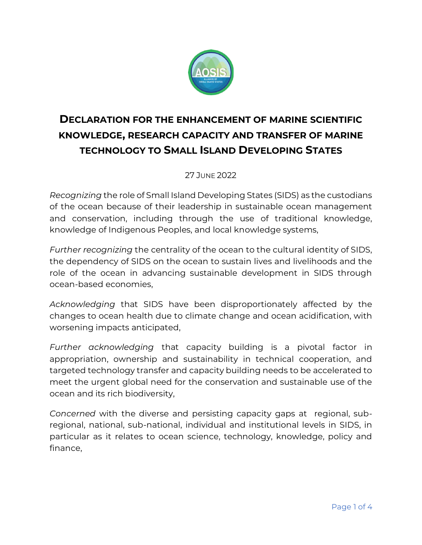

## **DECLARATION FOR THE ENHANCEMENT OF MARINE SCIENTIFIC KNOWLEDGE, RESEARCH CAPACITY AND TRANSFER OF MARINE TECHNOLOGY TO SMALL ISLAND DEVELOPING STATES**

## 27 JUNE 2022

*Recognizing* the role of Small Island Developing States (SIDS) as the custodians of the ocean because of their leadership in sustainable ocean management and conservation, including through the use of traditional knowledge, knowledge of Indigenous Peoples, and local knowledge systems,

*Further recognizing* the centrality of the ocean to the cultural identity of SIDS, the dependency of SIDS on the ocean to sustain lives and livelihoods and the role of the ocean in advancing sustainable development in SIDS through ocean-based economies,

*Acknowledging* that SIDS have been disproportionately affected by the changes to ocean health due to climate change and ocean acidification, with worsening impacts anticipated,

*Further acknowledging* that capacity building is a pivotal factor in appropriation, ownership and sustainability in technical cooperation, and targeted technology transfer and capacity building needs to be accelerated to meet the urgent global need for the conservation and sustainable use of the ocean and its rich biodiversity,

*Concerned* with the diverse and persisting capacity gaps at regional, subregional, national, sub-national, individual and institutional levels in SIDS, in particular as it relates to ocean science, technology, knowledge, policy and finance,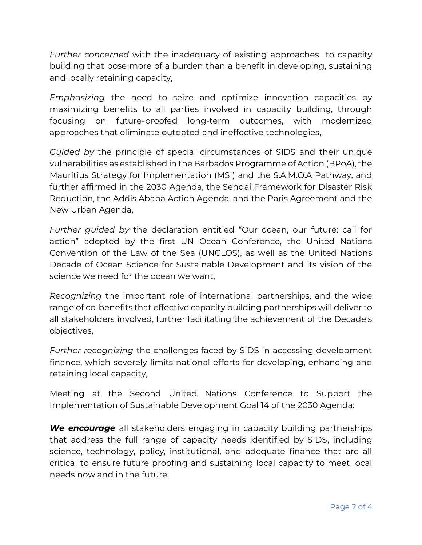*Further concerned* with the inadequacy of existing approaches to capacity building that pose more of a burden than a benefit in developing, sustaining and locally retaining capacity,

*Emphasizing* the need to seize and optimize innovation capacities by maximizing benefits to all parties involved in capacity building, through focusing on future-proofed long-term outcomes, with modernized approaches that eliminate outdated and ineffective technologies,

*Guided by* the principle of special circumstances of SIDS and their unique vulnerabilities as established in the Barbados Programme of Action (BPoA), the Mauritius Strategy for Implementation (MSI) and the S.A.M.O.A Pathway, and further affirmed in the 2030 Agenda, the Sendai Framework for Disaster Risk Reduction, the Addis Ababa Action Agenda, and the Paris Agreement and the New Urban Agenda,

*Further guided by* the declaration entitled "Our ocean, our future: call for action" adopted by the first UN Ocean Conference, the United Nations Convention of the Law of the Sea (UNCLOS), as well as the United Nations Decade of Ocean Science for Sustainable Development and its vision of the science we need for the ocean we want,

*Recognizing* the important role of international partnerships, and the wide range of co-benefits that effective capacity building partnerships will deliver to all stakeholders involved, further facilitating the achievement of the Decade's objectives,

*Further recognizing* the challenges faced by SIDS in accessing development finance, which severely limits national efforts for developing, enhancing and retaining local capacity,

Meeting at the Second United Nations Conference to Support the Implementation of Sustainable Development Goal 14 of the 2030 Agenda:

*We encourage* all stakeholders engaging in capacity building partnerships that address the full range of capacity needs identified by SIDS, including science, technology, policy, institutional, and adequate finance that are all critical to ensure future proofing and sustaining local capacity to meet local needs now and in the future.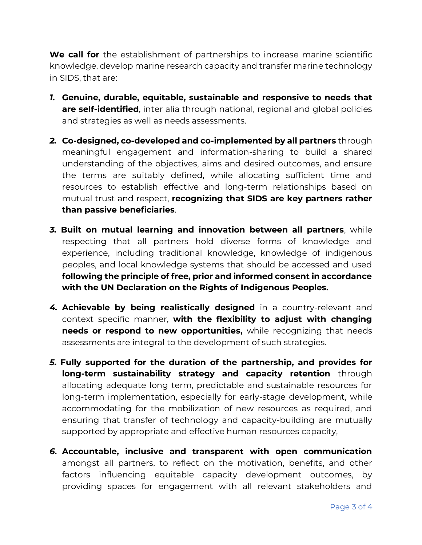**We call for** the establishment of partnerships to increase marine scientific knowledge, develop marine research capacity and transfer marine technology in SIDS, that are:

- *1.* **Genuine, durable, equitable, sustainable and responsive to needs that are self-identified**, inter alia through national, regional and global policies and strategies as well as needs assessments.
- *2.* **Co-designed, co-developed and co-implemented by all partners** through meaningful engagement and information-sharing to build a shared understanding of the objectives, aims and desired outcomes, and ensure the terms are suitably defined, while allocating sufficient time and resources to establish effective and long-term relationships based on mutual trust and respect, **recognizing that SIDS are key partners rather than passive beneficiaries**.
- *3.* **Built on mutual learning and innovation between all partners**, while respecting that all partners hold diverse forms of knowledge and experience, including traditional knowledge, knowledge of indigenous peoples, and local knowledge systems that should be accessed and used **following the principle of free, prior and informed consent in accordance with the UN Declaration on the Rights of Indigenous Peoples.**
- *4.* **Achievable by being realistically designed** in a country-relevant and context specific manner, **with the flexibility to adjust with changing needs or respond to new opportunities,** while recognizing that needs assessments are integral to the development of such strategies.
- *5.* **Fully supported for the duration of the partnership, and provides for long-term sustainability strategy and capacity retention** through allocating adequate long term, predictable and sustainable resources for long-term implementation, especially for early-stage development, while accommodating for the mobilization of new resources as required, and ensuring that transfer of technology and capacity-building are mutually supported by appropriate and effective human resources capacity,
- *6.* **Accountable, inclusive and transparent with open communication** amongst all partners, to reflect on the motivation, benefits, and other factors influencing equitable capacity development outcomes, by providing spaces for engagement with all relevant stakeholders and